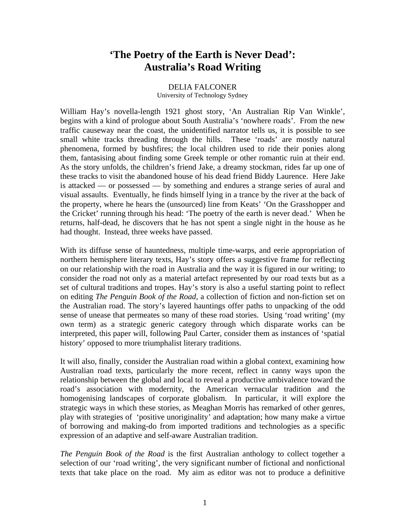## **'The Poetry of the Earth is Never Dead': Australia's Road Writing**

## DELIA FALCONER

University of Technology Sydney

William Hay's novella-length 1921 ghost story, 'An Australian Rip Van Winkle', begins with a kind of prologue about South Australia's 'nowhere roads'. From the new traffic causeway near the coast, the unidentified narrator tells us, it is possible to see small white tracks threading through the hills. These 'roads' are mostly natural phenomena, formed by bushfires; the local children used to ride their ponies along them, fantasising about finding some Greek temple or other romantic ruin at their end. As the story unfolds, the children's friend Jake, a dreamy stockman, rides far up one of these tracks to visit the abandoned house of his dead friend Biddy Laurence. Here Jake is attacked — or possessed — by something and endures a strange series of aural and visual assaults. Eventually, he finds himself lying in a trance by the river at the back of the property, where he hears the (unsourced) line from Keats' 'On the Grasshopper and the Cricket' running through his head: 'The poetry of the earth is never dead.' When he returns, half-dead, he discovers that he has not spent a single night in the house as he had thought. Instead, three weeks have passed.

With its diffuse sense of hauntedness, multiple time-warps, and eerie appropriation of northern hemisphere literary texts, Hay's story offers a suggestive frame for reflecting on our relationship with the road in Australia and the way it is figured in our writing; to consider the road not only as a material artefact represented by our road texts but as a set of cultural traditions and tropes. Hay's story is also a useful starting point to reflect on editing *The Penguin Book of the Road*, a collection of fiction and non-fiction set on the Australian road. The story's layered hauntings offer paths to unpacking of the odd sense of unease that permeates so many of these road stories. Using 'road writing' (my own term) as a strategic generic category through which disparate works can be interpreted, this paper will, following Paul Carter, consider them as instances of 'spatial history' opposed to more triumphalist literary traditions.

It will also, finally, consider the Australian road within a global context, examining how Australian road texts, particularly the more recent, reflect in canny ways upon the relationship between the global and local to reveal a productive ambivalence toward the road's association with modernity, the American vernacular tradition and the homogenising landscapes of corporate globalism. In particular, it will explore the strategic ways in which these stories, as Meaghan Morris has remarked of other genres, play with strategies of 'positive unoriginality' and adaptation; how many make a virtue of borrowing and making-do from imported traditions and technologies as a specific expression of an adaptive and self-aware Australian tradition.

*The Penguin Book of the Road* is the first Australian anthology to collect together a selection of our 'road writing', the very significant number of fictional and nonfictional texts that take place on the road. My aim as editor was not to produce a definitive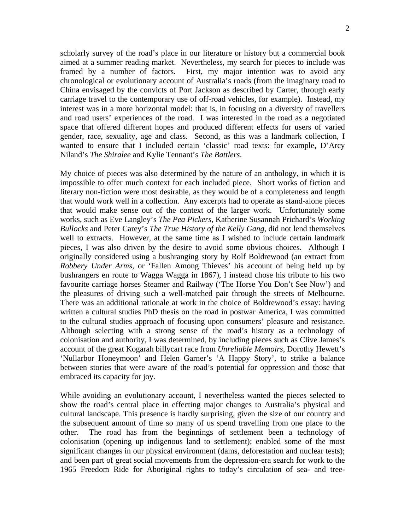scholarly survey of the road's place in our literature or history but a commercial book aimed at a summer reading market. Nevertheless, my search for pieces to include was framed by a number of factors. First, my major intention was to avoid any chronological or evolutionary account of Australia's roads (from the imaginary road to China envisaged by the convicts of Port Jackson as described by Carter, through early carriage travel to the contemporary use of off-road vehicles, for example). Instead, my interest was in a more horizontal model: that is, in focusing on a diversity of travellers and road users' experiences of the road. I was interested in the road as a negotiated space that offered different hopes and produced different effects for users of varied gender, race, sexuality, age and class. Second, as this was a landmark collection, I wanted to ensure that I included certain 'classic' road texts: for example, D'Arcy Niland's *The Shiralee* and Kylie Tennant's *The Battlers*.

My choice of pieces was also determined by the nature of an anthology, in which it is impossible to offer much context for each included piece. Short works of fiction and literary non-fiction were most desirable, as they would be of a completeness and length that would work well in a collection. Any excerpts had to operate as stand-alone pieces that would make sense out of the context of the larger work. Unfortunately some works, such as Eve Langley's *The Pea Pickers*, Katherine Susannah Prichard's *Working Bullocks* and Peter Carey's *The True History of the Kelly Gang*, did not lend themselves well to extracts. However, at the same time as I wished to include certain landmark pieces, I was also driven by the desire to avoid some obvious choices. Although I originally considered using a bushranging story by Rolf Boldrewood (an extract from *Robbery Under Arms*, or 'Fallen Among Thieves' his account of being held up by bushrangers en route to Wagga Wagga in 1867), I instead chose his tribute to his two favourite carriage horses Steamer and Railway ('The Horse You Don't See Now') and the pleasures of driving such a well-matched pair through the streets of Melbourne. There was an additional rationale at work in the choice of Boldrewood's essay: having written a cultural studies PhD thesis on the road in postwar America, I was committed to the cultural studies approach of focusing upon consumers' pleasure and resistance. Although selecting with a strong sense of the road's history as a technology of colonisation and authority, I was determined, by including pieces such as Clive James's account of the great Kogarah billycart race from *Unreliable Memoirs*, Dorothy Hewett's 'Nullarbor Honeymoon' and Helen Garner's 'A Happy Story', to strike a balance between stories that were aware of the road's potential for oppression and those that embraced its capacity for joy.

While avoiding an evolutionary account, I nevertheless wanted the pieces selected to show the road's central place in effecting major changes to Australia's physical and cultural landscape. This presence is hardly surprising, given the size of our country and the subsequent amount of time so many of us spend travelling from one place to the other. The road has from the beginnings of settlement been a technology of colonisation (opening up indigenous land to settlement); enabled some of the most significant changes in our physical environment (dams, deforestation and nuclear tests); and been part of great social movements from the depression-era search for work to the 1965 Freedom Ride for Aboriginal rights to today's circulation of sea- and tree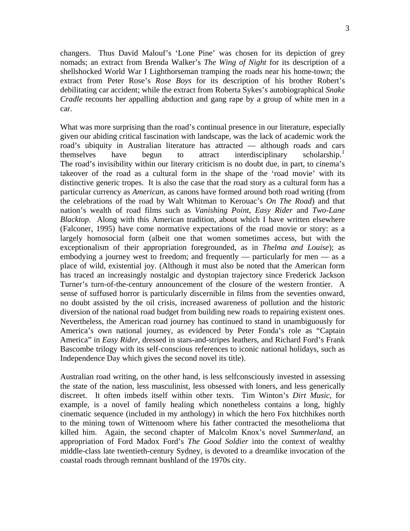changers. Thus David Malouf's 'Lone Pine' was chosen for its depiction of grey nomads; an extract from Brenda Walker's *The Wing of Night* for its description of a shellshocked World War I Lighthorseman tramping the roads near his home-town; the extract from Peter Rose's *Rose Boys* for its description of his brother Robert's debilitating car accident; while the extract from Roberta Sykes's autobiographical *Snake Cradle* recounts her appalling abduction and gang rape by a group of white men in a car.

What was more surprising than the road's continual presence in our literature, especially given our abiding critical fascination with landscape, was the lack of academic work the road's ubiquity in Australian literature has attracted — although roads and cars themselves have begun to attract interdisciplinary scholarship.<sup>[1](#page-12-0)</sup> The road's invisibility within our literary criticism is no doubt due, in part, to cinema's takeover of the road as a cultural form in the shape of the 'road movie' with its distinctive generic tropes. It is also the case that the road story as a cultural form has a particular currency as *American*, as canons have formed around both road writing (from the celebrations of the road by Walt Whitman to Kerouac's *On The Road*) and that nation's wealth of road films such as *Vanishing Point, Easy Rider* and *Two-Lane Blacktop*. Along with this American tradition, about which I have written elsewhere (Falconer, 1995) have come normative expectations of the road movie or story: as a largely homosocial form (albeit one that women sometimes access, but with the exceptionalism of their appropriation foregrounded, as in *Thelma and Louise*); as embodying a journey west to freedom; and frequently — particularly for men — as a place of wild, existential joy. (Although it must also be noted that the American form has traced an increasingly nostalgic and dystopian trajectory since Frederick Jackson Turner's turn-of-the-century announcement of the closure of the western frontier. A sense of suffused horror is particularly discernible in films from the seventies onward, no doubt assisted by the oil crisis, increased awareness of pollution and the historic diversion of the national road budget from building new roads to repairing existent ones. Nevertheless, the American road journey has continued to stand in unambiguously for America's own national journey, as evidenced by Peter Fonda's role as "Captain America" in *Easy Rider*, dressed in stars-and-stripes leathers, and Richard Ford's Frank Bascombe trilogy with its self-conscious references to iconic national holidays, such as Independence Day which gives the second novel its title).

Australian road writing, on the other hand, is less selfconsciously invested in assessing the state of the nation, less masculinist, less obsessed with loners, and less generically discreet. It often imbeds itself within other texts. Tim Winton's *Dirt Music*, for example, is a novel of family healing which nonetheless contains a long, highly cinematic sequence (included in my anthology) in which the hero Fox hitchhikes north to the mining town of Wittenoom where his father contracted the mesothelioma that killed him. Again, the second chapter of Malcolm Knox's novel *Summerland*, an appropriation of Ford Madox Ford's *The Good Soldier* into the context of wealthy middle-class late twentieth-century Sydney, is devoted to a dreamlike invocation of the coastal roads through remnant bushland of the 1970s city.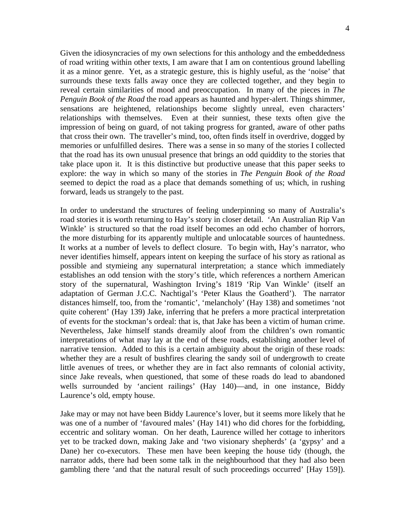Given the idiosyncracies of my own selections for this anthology and the embeddedness of road writing within other texts, I am aware that I am on contentious ground labelling it as a minor genre. Yet, as a strategic gesture, this is highly useful, as the 'noise' that surrounds these texts falls away once they are collected together, and they begin to reveal certain similarities of mood and preoccupation. In many of the pieces in *The Penguin Book of the Road* the road appears as haunted and hyper-alert. Things shimmer, sensations are heightened, relationships become slightly unreal, even characters' relationships with themselves. Even at their sunniest, these texts often give the impression of being on guard, of not taking progress for granted, aware of other paths that cross their own. The traveller's mind, too, often finds itself in overdrive, dogged by memories or unfulfilled desires. There was a sense in so many of the stories I collected that the road has its own unusual presence that brings an odd quiddity to the stories that take place upon it. It is this distinctive but productive unease that this paper seeks to explore: the way in which so many of the stories in *The Penguin Book of the Road* seemed to depict the road as a place that demands something of us; which, in rushing forward, leads us strangely to the past.

In order to understand the structures of feeling underpinning so many of Australia's road stories it is worth returning to Hay's story in closer detail. 'An Australian Rip Van Winkle' is structured so that the road itself becomes an odd echo chamber of horrors, the more disturbing for its apparently multiple and unlocatable sources of hauntedness. It works at a number of levels to deflect closure. To begin with, Hay's narrator, who never identifies himself, appears intent on keeping the surface of his story as rational as possible and stymieing any supernatural interpretation; a stance which immediately establishes an odd tension with the story's title, which references a northern American story of the supernatural, Washington Irving's 1819 'Rip Van Winkle' (itself an adaptation of German J.C.C. Nachtigal's 'Peter Klaus the Goatherd'). The narrator distances himself, too, from the 'romantic', 'melancholy' (Hay 138) and sometimes 'not quite coherent' (Hay 139) Jake, inferring that he prefers a more practical interpretation of events for the stockman's ordeal: that is, that Jake has been a victim of human crime. Nevertheless, Jake himself stands dreamily aloof from the children's own romantic interpretations of what may lay at the end of these roads, establishing another level of narrative tension. Added to this is a certain ambiguity about the origin of these roads: whether they are a result of bushfires clearing the sandy soil of undergrowth to create little avenues of trees, or whether they are in fact also remnants of colonial activity, since Jake reveals, when questioned, that some of these roads do lead to abandoned wells surrounded by 'ancient railings' (Hay 140)—and, in one instance, Biddy Laurence's old, empty house.

Jake may or may not have been Biddy Laurence's lover, but it seems more likely that he was one of a number of 'favoured males' (Hay 141) who did chores for the forbidding, eccentric and solitary woman. On her death, Laurence willed her cottage to inheritors yet to be tracked down, making Jake and 'two visionary shepherds' (a 'gypsy' and a Dane) her co-executors. These men have been keeping the house tidy (though, the narrator adds, there had been some talk in the neighbourhood that they had also been gambling there 'and that the natural result of such proceedings occurred' [Hay 159]).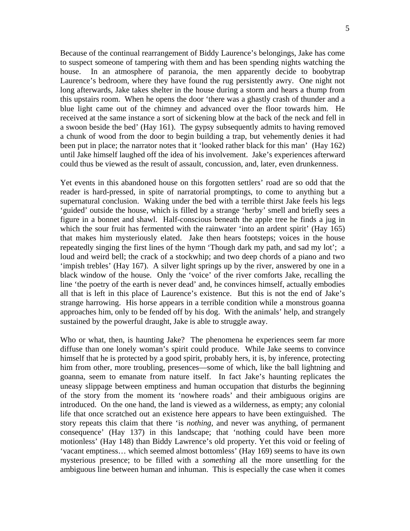Because of the continual rearrangement of Biddy Laurence's belongings, Jake has come to suspect someone of tampering with them and has been spending nights watching the house. In an atmosphere of paranoia, the men apparently decide to boobytrap Laurence's bedroom, where they have found the rug persistently awry. One night not long afterwards, Jake takes shelter in the house during a storm and hears a thump from this upstairs room. When he opens the door 'there was a ghastly crash of thunder and a blue light came out of the chimney and advanced over the floor towards him. He received at the same instance a sort of sickening blow at the back of the neck and fell in a swoon beside the bed' (Hay 161). The gypsy subsequently admits to having removed a chunk of wood from the door to begin building a trap, but vehemently denies it had been put in place; the narrator notes that it 'looked rather black for this man' (Hay 162) until Jake himself laughed off the idea of his involvement. Jake's experiences afterward could thus be viewed as the result of assault, concussion, and, later, even drunkenness.

Yet events in this abandoned house on this forgotten settlers' road are so odd that the reader is hard-pressed, in spite of narratorial promptings, to come to anything but a supernatural conclusion. Waking under the bed with a terrible thirst Jake feels his legs 'guided' outside the house, which is filled by a strange 'herby' smell and briefly sees a figure in a bonnet and shawl. Half-conscious beneath the apple tree he finds a jug in which the sour fruit has fermented with the rainwater 'into an ardent spirit' (Hay 165) that makes him mysteriously elated. Jake then hears footsteps; voices in the house repeatedly singing the first lines of the hymn 'Though dark my path, and sad my lot'; a loud and weird bell; the crack of a stockwhip; and two deep chords of a piano and two 'impish trebles' (Hay 167). A silver light springs up by the river, answered by one in a black window of the house. Only the 'voice' of the river comforts Jake, recalling the line 'the poetry of the earth is never dead' and, he convinces himself, actually embodies all that is left in this place of Laurence's existence. But this is not the end of Jake's strange harrowing. His horse appears in a terrible condition while a monstrous goanna approaches him, only to be fended off by his dog. With the animals' help, and strangely sustained by the powerful draught, Jake is able to struggle away.

Who or what, then, is haunting Jake? The phenomena he experiences seem far more diffuse than one lonely woman's spirit could produce. While Jake seems to convince himself that he is protected by a good spirit, probably hers, it is, by inference, protecting him from other, more troubling, presences—some of which, like the ball lightning and goanna, seem to emanate from nature itself. In fact Jake's haunting replicates the uneasy slippage between emptiness and human occupation that disturbs the beginning of the story from the moment its 'nowhere roads' and their ambiguous origins are introduced. On the one hand, the land is viewed as a wilderness, as empty; any colonial life that once scratched out an existence here appears to have been extinguished. The story repeats this claim that there 'is *nothing*, and never was anything, of permanent consequence' (Hay 137) in this landscape; that 'nothing could have been more motionless' (Hay 148) than Biddy Lawrence's old property. Yet this void or feeling of 'vacant emptiness… which seemed almost bottomless' (Hay 169) seems to have its own mysterious presence; to be filled with a *something* all the more unsettling for the ambiguous line between human and inhuman. This is especially the case when it comes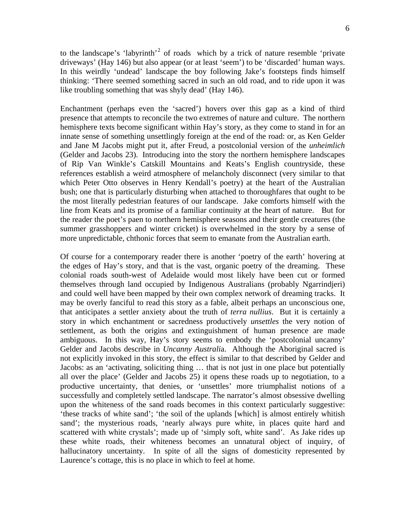to the landscape's 'labyrinth'<sup>[2](#page-12-1)</sup> of roads which by a trick of nature resemble 'private driveways' (Hay 146) but also appear (or at least 'seem') to be 'discarded' human ways. In this weirdly 'undead' landscape the boy following Jake's footsteps finds himself thinking: 'There seemed something sacred in such an old road, and to ride upon it was like troubling something that was shyly dead' (Hay 146).

Enchantment (perhaps even the 'sacred') hovers over this gap as a kind of third presence that attempts to reconcile the two extremes of nature and culture. The northern hemisphere texts become significant within Hay's story, as they come to stand in for an innate sense of something unsettlingly foreign at the end of the road: or, as Ken Gelder and Jane M Jacobs might put it, after Freud, a postcolonial version of the *unheimlich* (Gelder and Jacobs 23). Introducing into the story the northern hemisphere landscapes of Rip Van Winkle's Catskill Mountains and Keats's English countryside, these references establish a weird atmosphere of melancholy disconnect (very similar to that which Peter Otto observes in Henry Kendall's poetry) at the heart of the Australian bush; one that is particularly disturbing when attached to thoroughfares that ought to be the most literally pedestrian features of our landscape. Jake comforts himself with the line from Keats and its promise of a familiar continuity at the heart of nature. But for the reader the poet's paen to northern hemisphere seasons and their gentle creatures (the summer grasshoppers and winter cricket) is overwhelmed in the story by a sense of more unpredictable, chthonic forces that seem to emanate from the Australian earth.

Of course for a contemporary reader there is another 'poetry of the earth' hovering at the edges of Hay's story, and that is the vast, organic poetry of the dreaming. These colonial roads south-west of Adelaide would most likely have been cut or formed themselves through land occupied by Indigenous Australians (probably Ngarrindjeri) and could well have been mapped by their own complex network of dreaming tracks. It may be overly fanciful to read this story as a fable, albeit perhaps an unconscious one, that anticipates a settler anxiety about the truth of *terra nullius*. But it is certainly a story in which enchantment or sacredness productively *unsettles* the very notion of settlement, as both the origins and extinguishment of human presence are made ambiguous. In this way, Hay's story seems to embody the 'postcolonial uncanny' Gelder and Jacobs describe in *Uncanny Australi*a. Although the Aboriginal sacred is not explicitly invoked in this story, the effect is similar to that described by Gelder and Jacobs: as an 'activating, soliciting thing … that is not just in one place but potentially all over the place' (Gelder and Jacobs 25) it opens these roads up to negotiation, to a productive uncertainty, that denies, or 'unsettles' more triumphalist notions of a successfully and completely settled landscape. The narrator's almost obsessive dwelling upon the whiteness of the sand roads becomes in this context particularly suggestive: 'these tracks of white sand'; 'the soil of the uplands [which] is almost entirely whitish sand'; the mysterious roads, 'nearly always pure white, in places quite hard and scattered with white crystals'; made up of 'simply soft, white sand'. As Jake rides up these white roads, their whiteness becomes an unnatural object of inquiry, of hallucinatory uncertainty. In spite of all the signs of domesticity represented by Laurence's cottage, this is no place in which to feel at home.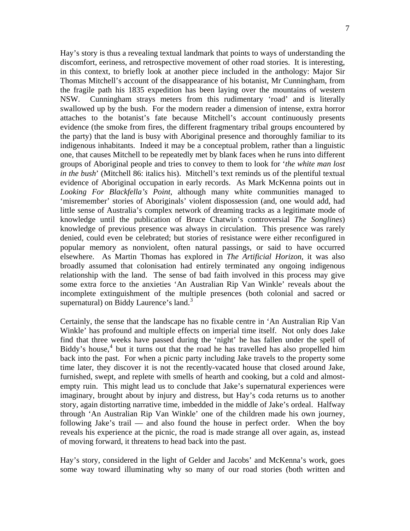Hay's story is thus a revealing textual landmark that points to ways of understanding the discomfort, eeriness, and retrospective movement of other road stories. It is interesting, in this context, to briefly look at another piece included in the anthology: Major Sir Thomas Mitchell's account of the disappearance of his botanist, Mr Cunningham, from the fragile path his 1835 expedition has been laying over the mountains of western NSW. Cunningham strays meters from this rudimentary 'road' and is literally swallowed up by the bush. For the modern reader a dimension of intense, extra horror attaches to the botanist's fate because Mitchell's account continuously presents evidence (the smoke from fires, the different fragmentary tribal groups encountered by the party) that the land is busy with Aboriginal presence and thoroughly familiar to its indigenous inhabitants. Indeed it may be a conceptual problem, rather than a linguistic one, that causes Mitchell to be repeatedly met by blank faces when he runs into different groups of Aboriginal people and tries to convey to them to look for '*the white man lost in the bush*' (Mitchell 86: italics his). Mitchell's text reminds us of the plentiful textual evidence of Aboriginal occupation in early records. As Mark McKenna points out in *Looking For Blackfella's Point*, although many white communities managed to 'misremember' stories of Aboriginals' violent dispossession (and, one would add, had little sense of Australia's complex network of dreaming tracks as a legitimate mode of knowledge until the publication of Bruce Chatwin's controversial *The Songlines*) knowledge of previous presence was always in circulation. This presence was rarely denied, could even be celebrated; but stories of resistance were either reconfigured in popular memory as nonviolent, often natural passings, or said to have occurred elsewhere. As Martin Thomas has explored in *The Artificial Horizon*, it was also broadly assumed that colonisation had entirely terminated any ongoing indigenous relationship with the land. The sense of bad faith involved in this process may give some extra force to the anxieties 'An Australian Rip Van Winkle' reveals about the incomplete extinguishment of the multiple presences (both colonial and sacred or supernatural) on Biddy Laurence's land.<sup>[3](#page-12-1)</sup>

Certainly, the sense that the landscape has no fixable centre in 'An Australian Rip Van Winkle' has profound and multiple effects on imperial time itself. Not only does Jake find that three weeks have passed during the 'night' he has fallen under the spell of Biddy's house,<sup>[4](#page-12-1)</sup> but it turns out that the road he has travelled has also propelled him back into the past. For when a picnic party including Jake travels to the property some time later, they discover it is not the recently-vacated house that closed around Jake, furnished, swept, and replete with smells of hearth and cooking, but a cold and almostempty ruin. This might lead us to conclude that Jake's supernatural experiences were imaginary, brought about by injury and distress, but Hay's coda returns us to another story, again distorting narrative time, imbedded in the middle of Jake's ordeal. Halfway through 'An Australian Rip Van Winkle' one of the children made his own journey, following Jake's trail — and also found the house in perfect order. When the boy reveals his experience at the picnic, the road is made strange all over again, as, instead of moving forward, it threatens to head back into the past.

Hay's story, considered in the light of Gelder and Jacobs' and McKenna's work, goes some way toward illuminating why so many of our road stories (both written and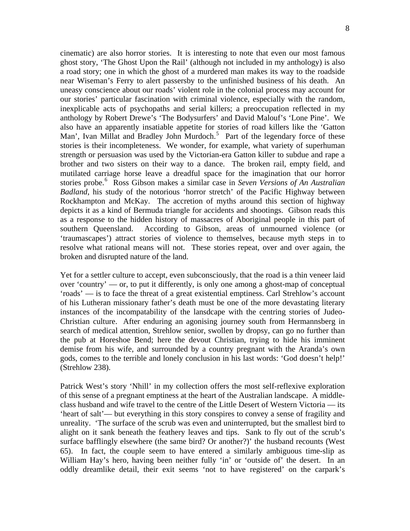cinematic) are also horror stories. It is interesting to note that even our most famous ghost story, 'The Ghost Upon the Rail' (although not included in my anthology) is also a road story; one in which the ghost of a murdered man makes its way to the roadside near Wiseman's Ferry to alert passersby to the unfinished business of his death. An uneasy conscience about our roads' violent role in the colonial process may account for our stories' particular fascination with criminal violence, especially with the random, inexplicable acts of psychopaths and serial killers; a preoccupation reflected in my anthology by Robert Drewe's 'The Bodysurfers' and David Malouf's 'Lone Pine'. We also have an apparently insatiable appetite for stories of road killers like the 'Gatton Man', Ivan Millat and Bradley John Murdoch.<sup>[5](#page-12-1)</sup> Part of the legendary force of these stories is their incompleteness. We wonder, for example, what variety of superhuman strength or persuasion was used by the Victorian-era Gatton killer to subdue and rape a brother and two sisters on their way to a dance. The broken rail, empty field, and mutilated carriage horse leave a dreadful space for the imagination that our horror stories probe.[6](#page-12-1) Ross Gibson makes a similar case in *Seven Versions of An Australian Badland*, his study of the notorious 'horror stretch' of the Pacific Highway between Rockhampton and McKay. The accretion of myths around this section of highway depicts it as a kind of Bermuda triangle for accidents and shootings. Gibson reads this as a response to the hidden history of massacres of Aboriginal people in this part of southern Queensland. According to Gibson, areas of unmourned violence (or 'traumascapes') attract stories of violence to themselves, because myth steps in to resolve what rational means will not. These stories repeat, over and over again, the broken and disrupted nature of the land.

Yet for a settler culture to accept, even subconsciously, that the road is a thin veneer laid over 'country' — or, to put it differently, is only one among a ghost-map of conceptual 'roads' — is to face the threat of a great existential emptiness. Carl Strehlow's account of his Lutheran missionary father's death must be one of the more devastating literary instances of the incompatability of the lansdcape with the centring stories of Judeo-Christian culture. After enduring an agonising journey south from Hermannsberg in search of medical attention, Strehlow senior, swollen by dropsy, can go no further than the pub at Horeshoe Bend; here the devout Christian, trying to hide his imminent demise from his wife, and surrounded by a country pregnant with the Aranda's own gods, comes to the terrible and lonely conclusion in his last words: 'God doesn't help!' (Strehlow 238).

Patrick West's story 'Nhill' in my collection offers the most self-reflexive exploration of this sense of a pregnant emptiness at the heart of the Australian landscape. A middleclass husband and wife travel to the centre of the Little Desert of Western Victoria — its 'heart of salt'— but everything in this story conspires to convey a sense of fragility and unreality. 'The surface of the scrub was even and uninterrupted, but the smallest bird to alight on it sank beneath the feathery leaves and tips. Sank to fly out of the scrub's surface bafflingly elsewhere (the same bird? Or another?)' the husband recounts (West 65). In fact, the couple seem to have entered a similarly ambiguous time-slip as William Hay's hero, having been neither fully 'in' or 'outside of' the desert. In an oddly dreamlike detail, their exit seems 'not to have registered' on the carpark's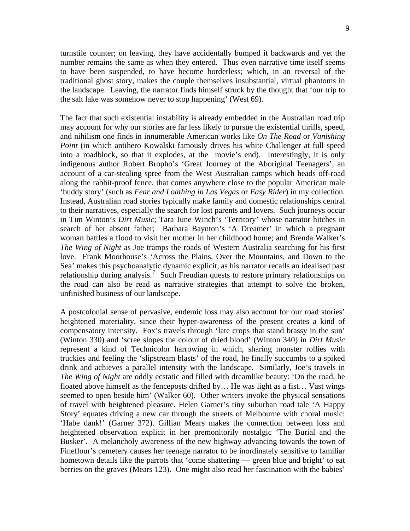turnstile counter; on leaving, they have accidentally bumped it backwards and yet the number remains the same as when they entered. Thus even narrative time itself seems to have been suspended, to have become borderless; which, in an reversal of the traditional ghost story, makes the couple themselves insubstantial, virtual phantoms in the landscape. Leaving, the narrator finds himself struck by the thought that 'our trip to the salt lake was somehow never to stop happening' (West 69).

The fact that such existential instability is already embedded in the Australian road trip may account for why our stories are far less likely to pursue the existential thrills, speed, and nihilism one finds in innumerable American works like *On The Road* or *Vanishing Point* (in which antihero Kowalski famously drives his white Challenger at full speed into a roadblock, so that it explodes, at the movie's end). Interestingly, it is only indigenous author Robert Bropho's 'Great Journey of the Aboriginal Teenagers', an account of a car-stealing spree from the West Australian camps which heads off-road along the rabbit-proof fence, that comes anywhere close to the popular American male 'buddy story' (such as *Fear and Loathing in Las Vegas* or *Easy Rider*) in my collection. Instead, Australian road stories typically make family and domestic relationships central to their narratives, especially the search for lost parents and lovers. Such journeys occur in Tim Winton's *Dirt Music*; Tara June Winch's 'Territory' whose narrator hitches in search of her absent father; Barbara Baynton's 'A Dreamer' in which a pregnant woman battles a flood to visit her mother in her childhood home; and Brenda Walker's *The Wing of Night* as Joe tramps the roads of Western Australia searching for his first love. Frank Moorhouse's 'Across the Plains, Over the Mountains, and Down to the Sea' makes this psychoanalytic dynamic explicit, as his narrator recalls an idealised past relationship during analysis.<sup>[7](#page-12-1)</sup> Such Freudian quests to restore primary relationships on the road can also be read as narrative strategies that attempt to solve the broken, unfinished business of our landscape.

A postcolonial sense of pervasive, endemic loss may also account for our road stories' heightened materiality, since their hyper-awareness of the present creates a kind of compensatory intensity. Fox's travels through 'late crops that stand brassy in the sun' (Winton 330) and 'scree slopes the colour of dried blood' (Winton 340) in *Dirt Music* represent a kind of Technicolor harrowing in which, sharing monster rollies with truckies and feeling the 'slipstream blasts' of the road, he finally succumbs to a spiked drink and achieves a parallel intensity with the landscape. Similarly, Joe's travels in *The Wing of Night* are oddly ecstatic and filled with dreamlike beauty: 'On the road, he floated above himself as the fenceposts drifted by… He was light as a fist… Vast wings seemed to open beside him' (Walker 60). Other writers invoke the physical sensations of travel with heightened pleasure. Helen Garner's tiny suburban road tale 'A Happy Story' equates driving a new car through the streets of Melbourne with choral music: 'Habe dank!' (Garner 372). Gillian Mears makes the connection between loss and heightened observation explicit in her premonitorily nostalgic 'The Burial and the Busker'. A melancholy awareness of the new highway advancing towards the town of Fineflour's cemetery causes her teenage narrator to be inordinately sensitive to familiar hometown details like the parrots that 'come shattering — green blue and bright' to eat berries on the graves (Mears 123). One might also read her fascination with the babies'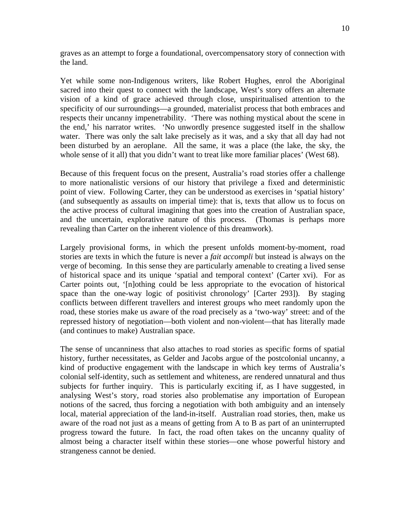graves as an attempt to forge a foundational, overcompensatory story of connection with the land.

Yet while some non-Indigenous writers, like Robert Hughes, enrol the Aboriginal sacred into their quest to connect with the landscape, West's story offers an alternate vision of a kind of grace achieved through close, unspiritualised attention to the specificity of our surroundings—a grounded, materialist process that both embraces and respects their uncanny impenetrability. 'There was nothing mystical about the scene in the end,' his narrator writes. 'No unwordly presence suggested itself in the shallow water. There was only the salt lake precisely as it was, and a sky that all day had not been disturbed by an aeroplane. All the same, it was a place (the lake, the sky, the whole sense of it all) that you didn't want to treat like more familiar places' (West 68).

Because of this frequent focus on the present, Australia's road stories offer a challenge to more nationalistic versions of our history that privilege a fixed and deterministic point of view. Following Carter, they can be understood as exercises in 'spatial history' (and subsequently as assaults on imperial time): that is, texts that allow us to focus on the active process of cultural imagining that goes into the creation of Australian space, and the uncertain, explorative nature of this process. (Thomas is perhaps more revealing than Carter on the inherent violence of this dreamwork).

Largely provisional forms, in which the present unfolds moment-by-moment, road stories are texts in which the future is never a *fait accompli* but instead is always on the verge of becoming. In this sense they are particularly amenable to creating a lived sense of historical space and its unique 'spatial and temporal context' (Carter xvi). For as Carter points out, '[n]othing could be less appropriate to the evocation of historical space than the one-way logic of positivist chronology' [Carter 293]). By staging conflicts between different travellers and interest groups who meet randomly upon the road, these stories make us aware of the road precisely as a 'two-way' street: and of the repressed history of negotiation—both violent and non-violent—that has literally made (and continues to make) Australian space.

The sense of uncanniness that also attaches to road stories as specific forms of spatial history, further necessitates, as Gelder and Jacobs argue of the postcolonial uncanny, a kind of productive engagement with the landscape in which key terms of Australia's colonial self-identity, such as settlement and whiteness, are rendered unnatural and thus subjects for further inquiry. This is particularly exciting if, as I have suggested, in analysing West's story, road stories also problematise any importation of European notions of the sacred, thus forcing a negotiation with both ambiguity and an intensely local, material appreciation of the land-in-itself. Australian road stories, then, make us aware of the road not just as a means of getting from A to B as part of an uninterrupted progress toward the future. In fact, the road often takes on the uncanny quality of almost being a character itself within these stories—one whose powerful history and strangeness cannot be denied.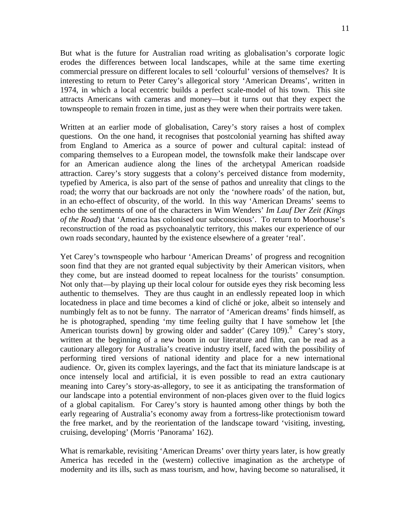But what is the future for Australian road writing as globalisation's corporate logic erodes the differences between local landscapes, while at the same time exerting commercial pressure on different locales to sell 'colourful' versions of themselves? It is interesting to return to Peter Carey's allegorical story 'American Dreams', written in 1974, in which a local eccentric builds a perfect scale-model of his town. This site attracts Americans with cameras and money—but it turns out that they expect the townspeople to remain frozen in time, just as they were when their portraits were taken.

Written at an earlier mode of globalisation, Carey's story raises a host of complex questions. On the one hand, it recognises that postcolonial yearning has shifted away from England to America as a source of power and cultural capital: instead of comparing themselves to a European model, the townsfolk make their landscape over for an American audience along the lines of the archetypal American roadside attraction. Carey's story suggests that a colony's perceived distance from modernity, typefied by America, is also part of the sense of pathos and unreality that clings to the road; the worry that our backroads are not only the 'nowhere roads' of the nation, but, in an echo-effect of obscurity, of the world. In this way 'American Dreams' seems to echo the sentiments of one of the characters in Wim Wenders' *Im Lauf Der Zeit (Kings of the Road*) that 'America has colonised our subconscious'. To return to Moorhouse's reconstruction of the road as psychoanalytic territory, this makes our experience of our own roads secondary, haunted by the existence elsewhere of a greater 'real'.

Yet Carey's townspeople who harbour 'American Dreams' of progress and recognition soon find that they are not granted equal subjectivity by their American visitors, when they come, but are instead doomed to repeat localness for the tourists' consumption. Not only that—by playing up their local colour for outside eyes they risk becoming less authentic to themselves. They are thus caught in an endlessly repeated loop in which locatedness in place and time becomes a kind of cliché or joke, albeit so intensely and numbingly felt as to not be funny. The narrator of 'American dreams' finds himself, as he is photographed, spending 'my time feeling guilty that I have somehow let [the American tourists down] by growing older and sadder' (Carey 109).<sup>[8](#page-12-1)</sup> Carey's story, written at the beginning of a new boom in our literature and film, can be read as a cautionary allegory for Australia's creative industry itself, faced with the possibility of performing tired versions of national identity and place for a new international audience. Or, given its complex layerings, and the fact that its miniature landscape is at once intensely local and artificial, it is even possible to read an extra cautionary meaning into Carey's story-as-allegory, to see it as anticipating the transformation of our landscape into a potential environment of non-places given over to the fluid logics of a global capitalism. For Carey's story is haunted among other things by both the early regearing of Australia's economy away from a fortress-like protectionism toward the free market, and by the reorientation of the landscape toward 'visiting, investing, cruising, developing' (Morris 'Panorama' 162).

What is remarkable, revisiting 'American Dreams' over thirty years later, is how greatly America has receded in the (western) collective imagination as the archetype of modernity and its ills, such as mass tourism, and how, having become so naturalised, it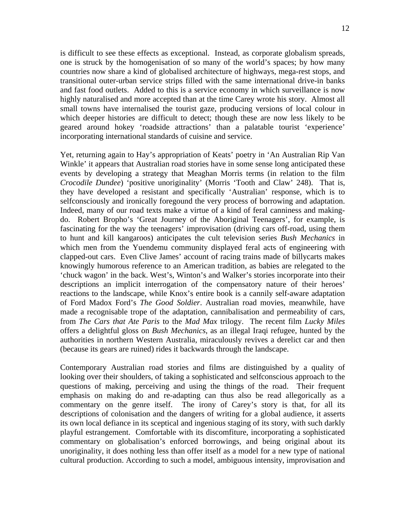is difficult to see these effects as exceptional. Instead, as corporate globalism spreads, one is struck by the homogenisation of so many of the world's spaces; by how many countries now share a kind of globalised architecture of highways, mega-rest stops, and transitional outer-urban service strips filled with the same international drive-in banks and fast food outlets. Added to this is a service economy in which surveillance is now highly naturalised and more accepted than at the time Carey wrote his story. Almost all small towns have internalised the tourist gaze, producing versions of local colour in which deeper histories are difficult to detect; though these are now less likely to be geared around hokey 'roadside attractions' than a palatable tourist 'experience' incorporating international standards of cuisine and service.

Yet, returning again to Hay's appropriation of Keats' poetry in 'An Australian Rip Van Winkle' it appears that Australian road stories have in some sense long anticipated these events by developing a strategy that Meaghan Morris terms (in relation to the film *Crocodile Dundee*) 'positive unoriginality' (Morris 'Tooth and Claw' 248). That is, they have developed a resistant and specifically 'Australian' response, which is to selfconsciously and ironically foregound the very process of borrowing and adaptation. Indeed, many of our road texts make a virtue of a kind of feral canniness and makingdo. Robert Bropho's 'Great Journey of the Aboriginal Teenagers', for example, is fascinating for the way the teenagers' improvisation (driving cars off-road, using them to hunt and kill kangaroos) anticipates the cult television series *Bush Mechanics* in which men from the Yuendemu community displayed feral acts of engineering with clapped-out cars. Even Clive James' account of racing trains made of billycarts makes knowingly humorous reference to an American tradition, as babies are relegated to the 'chuck wagon' in the back. West's, Winton's and Walker's stories incorporate into their descriptions an implicit interrogation of the compensatory nature of their heroes' reactions to the landscape, while Knox's entire book is a cannily self-aware adaptation of Ford Madox Ford's *The Good Soldier*. Australian road movies, meanwhile, have made a recognisable trope of the adaptation, cannibalisation and permeability of cars, from *The Cars that Ate Paris* to the *Mad Max* trilogy. The recent film *Lucky Miles* offers a delightful gloss on *Bush Mechanics*, as an illegal Iraqi refugee, hunted by the authorities in northern Western Australia, miraculously revives a derelict car and then (because its gears are ruined) rides it backwards through the landscape.

Contemporary Australian road stories and films are distinguished by a quality of looking over their shoulders, of taking a sophisticated and selfconscious approach to the questions of making, perceiving and using the things of the road. Their frequent emphasis on making do and re-adapting can thus also be read allegorically as a commentary on the genre itself. The irony of Carey's story is that, for all its descriptions of colonisation and the dangers of writing for a global audience, it asserts its own local defiance in its sceptical and ingenious staging of its story, with such darkly playful estrangement. Comfortable with its discomfiture, incorporating a sophisticated commentary on globalisation's enforced borrowings, and being original about its unoriginality, it does nothing less than offer itself as a model for a new type of national cultural production. According to such a model, ambiguous intensity, improvisation and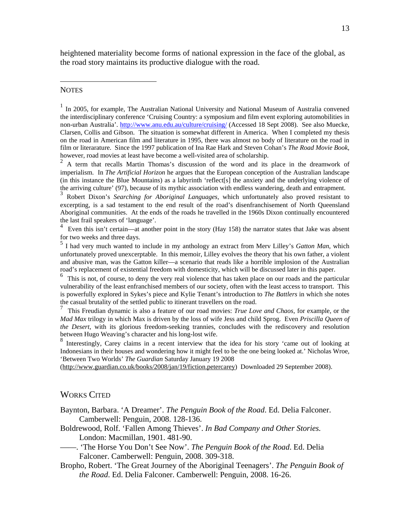heightened materiality become forms of national expression in the face of the global, as the road story maintains its productive dialogue with the road.

## <span id="page-12-0"></span>**NOTES**

<u>.</u>

<sup>1</sup> In 2005, for example, The Australian National University and National Museum of Australia convened the interdisciplinary conference 'Cruising Country: a symposium and film event exploring automobilities in non-urban Australia'. <http://www.anu.edu.au/culture/cruising/> (Accessed 18 Sept 2008). See also Muecke, Clarsen, Collis and Gibson. The situation is somewhat different in America. When I completed my thesis on the road in American film and literature in 1995, there was almost no body of literature on the road in film or literarature. Since the 1997 publication of Ina Rae Hark and Steven Cohan's *The Road Movie Book*, however, road movies at least have become a well-visited area of scholarship.<br><sup>2</sup> A term that recalls Martin Thomas's discussion of the word and its place in the dreamwork of

<span id="page-12-1"></span>imperialism. In *The Artificial Horizon* he argues that the European conception of the Australian landscape (in this instance the Blue Mountains) as a labyrinth 'reflect[s] the anxiety and the underlying violence of the arriving culture' (97), because of its mythic association with endless wandering, death and entrapment.

<sup>3</sup> Robert Dixon's *Searching for Aboriginal Languages*, which unfortunately also proved resistant to excerpting, is a sad testament to the end result of the road's disenfranchisement of North Queensland Aboriginal communities. At the ends of the roads he travelled in the 1960s Dixon continually encountered the last frail speakers of 'language'.

<sup>4</sup> Even this isn't certain—at another point in the story (Hay 158) the narrator states that Jake was absent for two weeks and three days.

<sup>5</sup> I had very much wanted to include in my anthology an extract from Merv Lilley's *Gatton Man*, which unfortunately proved unexcerptable. In this memoir, Lilley evolves the theory that his own father, a violent and abusive man, was the Gatton killer—a scenario that reads like a horrible implosion of the Australian road's replacement of existential freedom with domesticity, which will be discussed later in this paper.

<sup>6</sup> This is not, of course, to deny the very real violence that has taken place on our roads and the particular vulnerability of the least enfranchised members of our society, often with the least access to transport. This is powerfully explored in Sykes's piece and Kylie Tenant's introduction to *The Battlers* in which she notes the casual brutality of the settled public to itinerant travellers on the road.

 This Freudian dynamic is also a feature of our road movies: *True Love and Chaos*, for example, or the *Mad Max* trilogy in which Max is driven by the loss of wife Jess and child Sprog. Even *Priscilla Queen of the Desert*, with its glorious freedom-seeking trannies, concludes with the rediscovery and resolution between Hugo Weaving's character and his long-lost wife.

<sup>8</sup> Interestingly, Carey claims in a recent interview that the idea for his story 'came out of looking at Indonesians in their houses and wondering how it might feel to be the one being looked at.' Nicholas Wroe, 'Between Two Worlds' *The Guardian* Saturday January 19 2008

[\(http://www.guardian.co.uk/books/2008/jan/19/fiction.petercarey](http://www.guardian.co.uk/books/2008/jan/19/fiction.petercarey)) Downloaded 29 September 2008).

## WORKS CITED

Baynton, Barbara. 'A Dreamer'. *The Penguin Book of the Road*. Ed. Delia Falconer. Camberwell: Penguin, 2008. 128-136.

- Boldrewood, Rolf. 'Fallen Among Thieves'. *In Bad Company and Other Stories.* London: Macmillan, 1901. 481-90.
- ——. 'The Horse You Don't See Now'. *The Penguin Book of the Road*. Ed. Delia Falconer. Camberwell: Penguin, 2008. 309-318.
- Bropho, Robert. 'The Great Journey of the Aboriginal Teenagers'. *The Penguin Book of the Road*. Ed. Delia Falconer. Camberwell: Penguin, 2008. 16-26.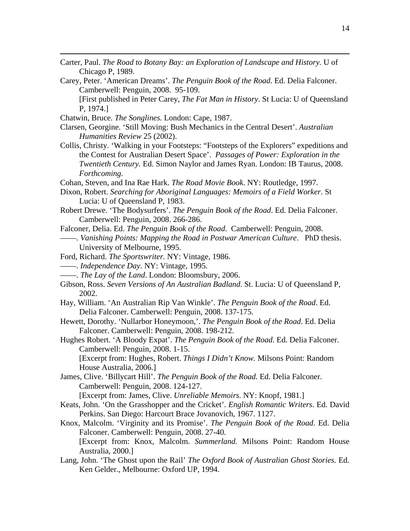- Carter, Paul. *The Road to Botany Bay: an Exploration of Landscape and History.* U of Chicago P, 1989.
- Carey, Peter. 'American Dreams'. *The Penguin Book of the Road*. Ed. Delia Falconer. Camberwell: Penguin, 2008. 95-109.

[First published in Peter Carey, *The Fat Man in History*. St Lucia: U of Queensland P, 1974.]

Chatwin, Bruce. *The Songlines.* London: Cape, 1987.

1

- Clarsen, Georgine. 'Still Moving: Bush Mechanics in the Central Desert'. *Australian Humanities Review* 25 (2002).
- Collis, Christy. 'Walking in your Footsteps: "Footsteps of the Explorers" expeditions and the Contest for Australian Desert Space'. *Passages of Power: Exploration in the Twentieth Century.* Ed. Simon Naylor and James Ryan. London: IB Taurus, 2008. *Forthcoming.*

Cohan, Steven, and Ina Rae Hark. *The Road Movie Book*. NY: Routledge, 1997.

- Dixon, Robert. *Searching for Aboriginal Languages: Memoirs of a Field Worker*. St Lucia: U of Queensland P, 1983.
- Robert Drewe. 'The Bodysurfers'. *The Penguin Book of the Road*. Ed. Delia Falconer. Camberwell: Penguin, 2008. 266-286.
- Falconer, Delia. Ed. *The Penguin Book of the Road*. Camberwell: Penguin, 2008.
- ——. *Vanishing Points: Mapping the Road in Postwar American Culture*. PhD thesis. University of Melbourne, 1995.
- Ford, Richard. *The Sportswriter.* NY: Vintage, 1986.
- ——. *Independence Day*. NY: Vintage, 1995.
- ——. *The Lay of the Land*. London: Bloomsbury, 2006.
- Gibson, Ross. *Seven Versions of An Australian Badland*. St. Lucia: U of Queensland P, 2002.
- Hay, William. 'An Australian Rip Van Winkle'. *The Penguin Book of the Road*. Ed. Delia Falconer. Camberwell: Penguin, 2008. 137-175.
- Hewett, Dorothy. 'Nullarbor Honeymoon,'. *The Penguin Book of the Road*. Ed. Delia Falconer. Camberwell: Penguin, 2008. 198-212.
- Hughes Robert. 'A Bloody Expat'. *The Penguin Book of the Road*. Ed. Delia Falconer. Camberwell: Penguin, 2008. 1-15.

[Excerpt from: Hughes, Robert. *Things I Didn't Know.* Milsons Point: Random House Australia, 2006.]

James, Clive. 'Billycart Hill'. *The Penguin Book of the Road*. Ed. Delia Falconer. Camberwell: Penguin, 2008. 124-127.

[Excerpt from: James, Clive. *Unreliable Memoirs*. NY: Knopf, 1981.]

- Keats, John. 'On the Grasshopper and the Cricket'. *English Romantic Writers*. Ed. David Perkins. San Diego: Harcourt Brace Jovanovich, 1967. 1127.
- Knox, Malcolm. 'Virginity and its Promise'. *The Penguin Book of the Road*. Ed. Delia Falconer. Camberwell: Penguin, 2008. 27-40. [Excerpt from: Knox, Malcolm. *Summerland.* Milsons Point: Random House Australia, 2000.]
- Lang, John. 'The Ghost upon the Rail' *The Oxford Book of Australian Ghost Stories.* Ed. Ken Gelder.*,* Melbourne: Oxford UP, 1994.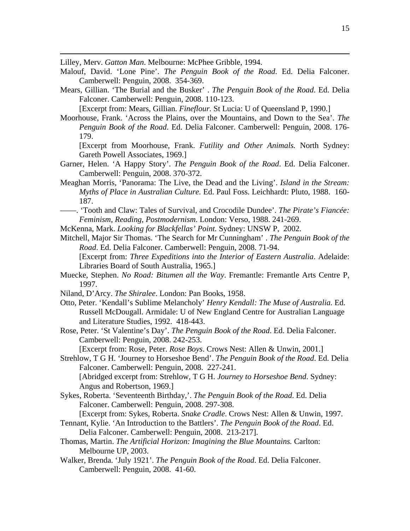Lilley, Merv. *Gatton Man*. Melbourne: McPhee Gribble, 1994.

1

- Malouf, David. 'Lone Pine'. *The Penguin Book of the Road*. Ed. Delia Falconer. Camberwell: Penguin, 2008. 354-369.
- Mears, Gillian. 'The Burial and the Busker' . *The Penguin Book of the Road*. Ed. Delia Falconer. Camberwell: Penguin, 2008. 110-123.

[Excerpt from: Mears, Gillian. *Fineflour.* St Lucia: U of Queensland P, 1990.]

Moorhouse, Frank. 'Across the Plains, over the Mountains, and Down to the Sea'. *The Penguin Book of the Road*. Ed. Delia Falconer. Camberwell: Penguin, 2008. 176- 179.

- [Excerpt from Moorhouse, Frank. *Futility and Other Animals.* North Sydney: Gareth Powell Associates, 1969.]
- Garner, Helen. 'A Happy Story'. *The Penguin Book of the Road*. Ed. Delia Falconer. Camberwell: Penguin, 2008. 370-372.
- Meaghan Morris, 'Panorama: The Live, the Dead and the Living'. *Island in the Stream: Myths of Place in Australian Culture.* Ed. Paul Foss. Leichhardt: Pluto, 1988. 160- 187.
- ——. 'Tooth and Claw: Tales of Survival, and Crocodile Dundee'. *The Pirate's Fiancée: Feminism, Reading, Postmodernism*. London: Verso, 1988. 241-269.
- McKenna, Mark. *Looking for Blackfellas' Point.* Sydney: UNSW P, 2002.
- Mitchell, Major Sir Thomas. 'The Search for Mr Cunningham' . *The Penguin Book of the Road*. Ed. Delia Falconer. Camberwell: Penguin, 2008. 71-94.

[Excerpt from: *Three Expeditions into the Interior of Eastern Australia*. Adelaide: Libraries Board of South Australia, 1965.]

- Muecke, Stephen. *No Road: Bitumen all the Way*. Fremantle: Fremantle Arts Centre P, 1997.
- Niland, D'Arcy. *The Shiralee*. London: Pan Books, 1958.
- Otto, Peter. 'Kendall's Sublime Melancholy' *Henry Kendall: The Muse of Australia.* Ed. Russell McDougall. Armidale: U of New England Centre for Australian Language and Literature Studies, 1992. 418-443.
- Rose, Peter. 'St Valentine's Day'. *The Penguin Book of the Road*. Ed. Delia Falconer. Camberwell: Penguin, 2008. 242-253.

[Excerpt from: Rose, Peter. *Rose Boys*. Crows Nest: Allen & Unwin, 2001.]

Strehlow, T G H. 'Journey to Horseshoe Bend'. *The Penguin Book of the Road*. Ed. Delia Falconer. Camberwell: Penguin, 2008. 227-241.

[Abridged excerpt from: Strehlow, T G H. *Journey to Horseshoe Bend*. Sydney: Angus and Robertson, 1969.]

Sykes, Roberta. 'Seventeenth Birthday,'. *The Penguin Book of the Road*. Ed. Delia Falconer. Camberwell: Penguin, 2008. 297-308.

[Excerpt from: Sykes, Roberta. *Snake Cradle*. Crows Nest: Allen & Unwin, 1997.

- Tennant, Kylie. 'An Introduction to the Battlers'. *The Penguin Book of the Road*. Ed. Delia Falconer. Camberwell: Penguin, 2008. 213-217].
- Thomas, Martin. *The Artificial Horizon: Imagining the Blue Mountains.* Carlton: Melbourne UP, 2003.
- Walker, Brenda. 'July 1921'. *The Penguin Book of the Road*. Ed. Delia Falconer. Camberwell: Penguin, 2008. 41-60.